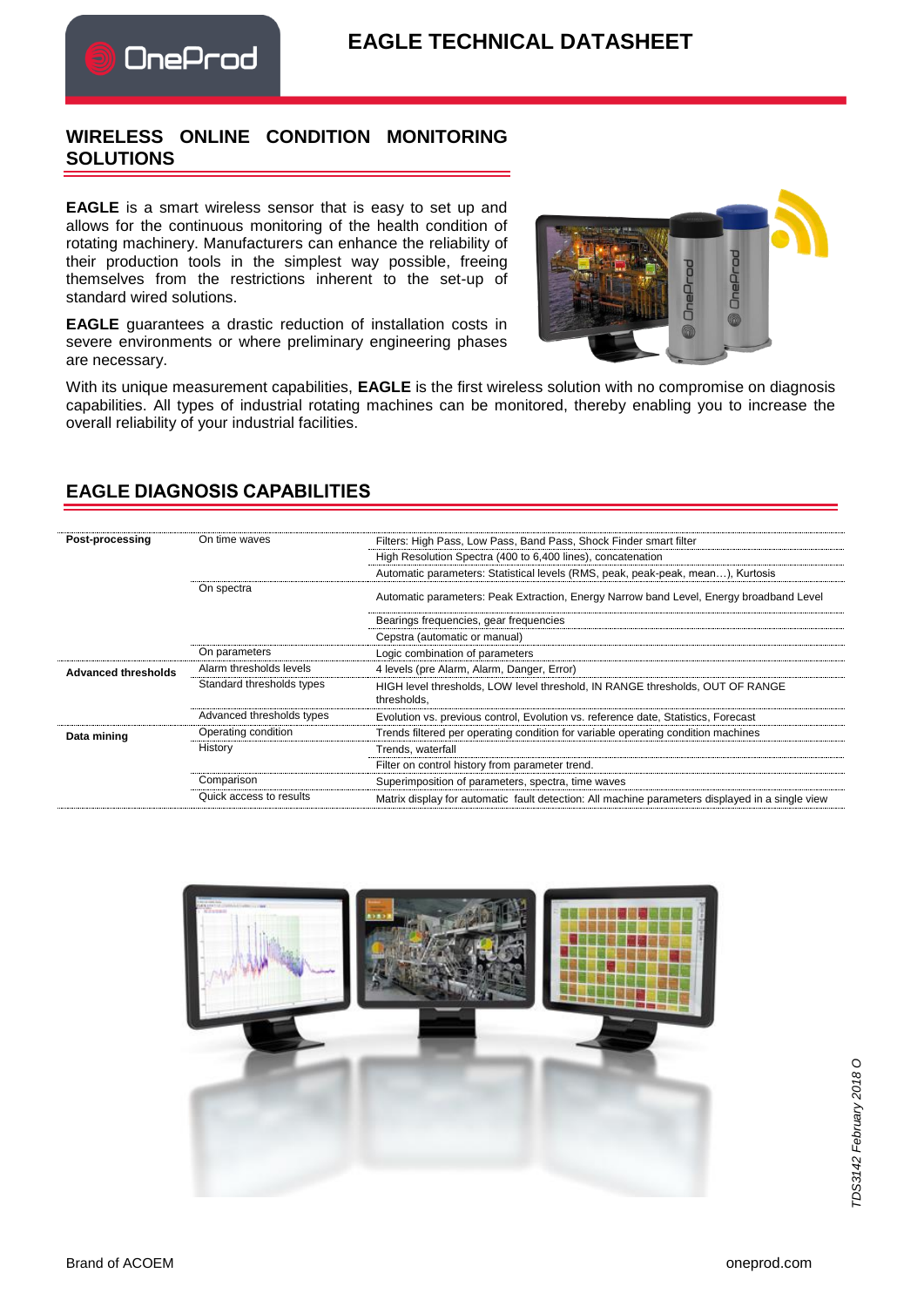## **EAGLE TECHNICAL DATASHEET**

## **WIRELESS ONLINE CONDITION MONITORING SOLUTIONS**

OneProd

**EAGLE** is a smart wireless sensor that is easy to set up and allows for the continuous monitoring of the health condition of rotating machinery. Manufacturers can enhance the reliability of their production tools in the simplest way possible, freeing themselves from the restrictions inherent to the set-up of standard wired solutions.

**EAGLE** guarantees a drastic reduction of installation costs in severe environments or where preliminary engineering phases are necessary.



With its unique measurement capabilities, **EAGLE** is the first wireless solution with no compromise on diagnosis capabilities. All types of industrial rotating machines can be monitored, thereby enabling you to increase the overall reliability of your industrial facilities.

| Post-processing            | On time waves             | Filters: High Pass, Low Pass, Band Pass, Shock Finder smart filter                              |  |  |
|----------------------------|---------------------------|-------------------------------------------------------------------------------------------------|--|--|
|                            |                           | High Resolution Spectra (400 to 6,400 lines), concatenation                                     |  |  |
|                            |                           | Automatic parameters: Statistical levels (RMS, peak, peak-peak, mean), Kurtosis                 |  |  |
|                            | On spectra                | Automatic parameters: Peak Extraction, Energy Narrow band Level, Energy broadband Level         |  |  |
|                            |                           | Bearings frequencies, gear frequencies                                                          |  |  |
|                            |                           | Cepstra (automatic or manual)                                                                   |  |  |
|                            | On parameters             | Logic combination of parameters                                                                 |  |  |
| <b>Advanced thresholds</b> | Alarm thresholds levels   | 4 levels (pre Alarm, Alarm, Danger, Error)                                                      |  |  |
|                            | Standard thresholds types | HIGH level thresholds, LOW level threshold, IN RANGE thresholds, OUT OF RANGE<br>thresholds.    |  |  |
|                            | Advanced thresholds types | Evolution vs. previous control, Evolution vs. reference date, Statistics, Forecast              |  |  |
| Data mining                | Operating condition       | Trends filtered per operating condition for variable operating condition machines               |  |  |
|                            | History                   | Trends, waterfall                                                                               |  |  |
|                            |                           | Filter on control history from parameter trend.                                                 |  |  |
|                            | Comparison                | Superimposition of parameters, spectra, time waves                                              |  |  |
|                            | Quick access to results   | Matrix display for automatic fault detection: All machine parameters displayed in a single view |  |  |

## **EAGLE DIAGNOSIS CAPABILITIES**

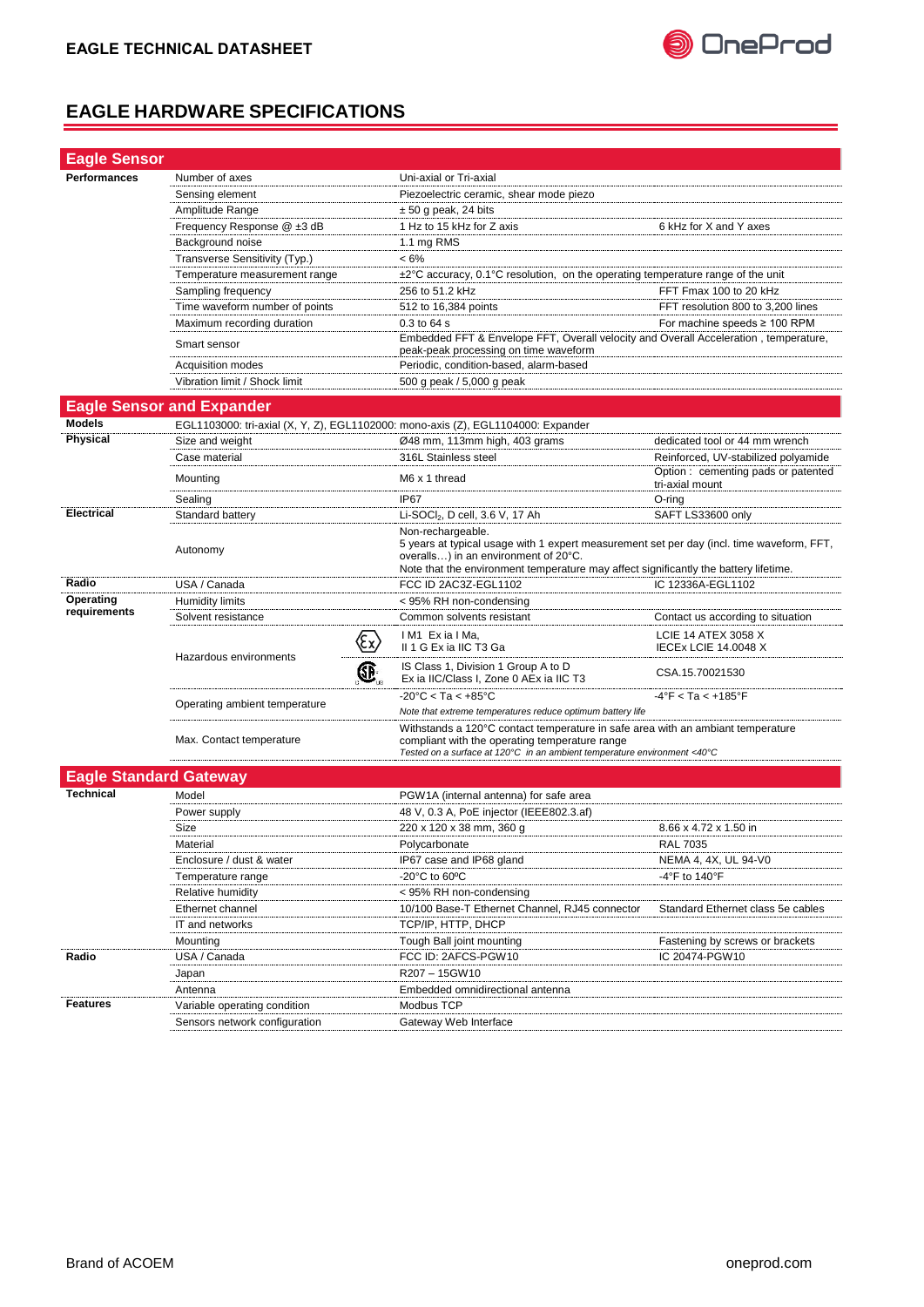

## **EAGLE HARDWARE SPECIFICATIONS**

| <b>Eagle Sensor</b>           |                                  |     |                                                                                                                                                                                                                                                |                                                           |  |
|-------------------------------|----------------------------------|-----|------------------------------------------------------------------------------------------------------------------------------------------------------------------------------------------------------------------------------------------------|-----------------------------------------------------------|--|
| Performances                  | Number of axes                   |     | Uni-axial or Tri-axial                                                                                                                                                                                                                         |                                                           |  |
|                               | Sensing element                  |     | Piezoelectric ceramic, shear mode piezo                                                                                                                                                                                                        |                                                           |  |
|                               | Amplitude Range                  |     | $\pm$ 50 g peak, 24 bits                                                                                                                                                                                                                       |                                                           |  |
|                               | Frequency Response @ ±3 dB       |     | 1 Hz to 15 kHz for Z axis                                                                                                                                                                                                                      | 6 kHz for X and Y axes                                    |  |
|                               | Background noise                 |     | 1.1 mg RMS                                                                                                                                                                                                                                     |                                                           |  |
|                               | Transverse Sensitivity (Typ.)    |     | $< 6\%$                                                                                                                                                                                                                                        |                                                           |  |
|                               | Temperature measurement range    |     | $\pm 2^{\circ}$ C accuracy, 0.1°C resolution, on the operating temperature range of the unit                                                                                                                                                   |                                                           |  |
|                               | Sampling frequency               |     | 256 to 51.2 kHz                                                                                                                                                                                                                                | FFT Fmax 100 to 20 kHz                                    |  |
|                               | Time waveform number of points   |     | 512 to 16,384 points                                                                                                                                                                                                                           | FFT resolution 800 to 3,200 lines                         |  |
|                               | Maximum recording duration       |     | 0.3 to 64 s                                                                                                                                                                                                                                    | For machine speeds $\geq 100$ RPM                         |  |
|                               | Smart sensor                     |     | Embedded FFT & Envelope FFT, Overall velocity and Overall Acceleration, temperature,<br>peak-peak processing on time waveform                                                                                                                  |                                                           |  |
|                               | Acquisition modes                |     | Periodic, condition-based, alarm-based                                                                                                                                                                                                         |                                                           |  |
|                               | Vibration limit / Shock limit    |     | 500 g peak / 5,000 g peak                                                                                                                                                                                                                      |                                                           |  |
|                               |                                  |     |                                                                                                                                                                                                                                                |                                                           |  |
|                               | <b>Eagle Sensor and Expander</b> |     |                                                                                                                                                                                                                                                |                                                           |  |
| <b>Models</b>                 |                                  |     | EGL1103000: tri-axial (X, Y, Z), EGL1102000: mono-axis (Z), EGL1104000: Expander                                                                                                                                                               |                                                           |  |
| <b>Physical</b>               | Size and weight                  |     | Ø48 mm, 113mm high, 403 grams                                                                                                                                                                                                                  | dedicated tool or 44 mm wrench                            |  |
|                               | Case material                    |     | 316L Stainless steel                                                                                                                                                                                                                           | Reinforced, UV-stabilized polyamide                       |  |
|                               | Mounting                         |     | M6 x 1 thread                                                                                                                                                                                                                                  | Option: cementing pads or patented<br>tri-axial mount     |  |
|                               | Sealing                          |     | IP <sub>67</sub>                                                                                                                                                                                                                               | O-ring                                                    |  |
| <b>Electrical</b>             | Standard battery                 |     | Li-SOCl <sub>2</sub> , D cell, 3.6 V, 17 Ah                                                                                                                                                                                                    | SAFT LS33600 only                                         |  |
|                               | Autonomy                         |     | Non-rechargeable.<br>5 years at typical usage with 1 expert measurement set per day (incl. time waveform, FFT,<br>overalls) in an environment of 20°C.<br>Note that the environment temperature may affect significantly the battery lifetime. |                                                           |  |
| Radio                         | USA / Canada                     |     | FCC ID 2AC3Z-EGL1102                                                                                                                                                                                                                           | IC 12336A-EGL1102                                         |  |
| Operating                     | Humidity limits                  |     | < 95% RH non-condensing                                                                                                                                                                                                                        |                                                           |  |
| requirements                  | Solvent resistance               |     | Common solvents resistant                                                                                                                                                                                                                      | Contact us according to situation                         |  |
|                               | Hazardous environments           | (εx | IM1 ExialMa,<br>II 1 G Ex ia IIC T3 Ga                                                                                                                                                                                                         | <b>LCIE 14 ATEX 3058 X</b><br><b>IECEX LCIE 14.0048 X</b> |  |
|                               |                                  | Œ,  | IS Class 1, Division 1 Group A to D<br>Ex ia IIC/Class I, Zone 0 AEx ia IIC T3                                                                                                                                                                 | CSA.15.70021530                                           |  |
|                               | Operating ambient temperature    |     | $-20^{\circ}$ C < Ta < $+85^{\circ}$ C<br>$-4^{\circ}$ F < Ta < $+185^{\circ}$ F<br>Note that extreme temperatures reduce optimum battery life                                                                                                 |                                                           |  |
|                               | Max. Contact temperature         |     | Withstands a 120°C contact temperature in safe area with an ambiant temperature<br>compliant with the operating temperature range<br>Tested on a surface at 120 $\degree$ C in an ambient temperature environment <40 $\degree$ C              |                                                           |  |
| <b>Eagle Standard Gateway</b> |                                  |     |                                                                                                                                                                                                                                                |                                                           |  |
| <b>Technical</b>              | Model                            |     | PGW1A (internal antenna) for safe area                                                                                                                                                                                                         |                                                           |  |
|                               |                                  |     | 48 V, 0.3 A, PoE injector (IEEE802.3.af)                                                                                                                                                                                                       |                                                           |  |
|                               | Power supply<br>Size             |     | 220 x 120 x 38 mm, 360 g                                                                                                                                                                                                                       | 8.66 x 4.72 x 1.50 in                                     |  |
|                               | Material                         |     | Polycarbonate                                                                                                                                                                                                                                  | <b>RAL 7035</b>                                           |  |
|                               | Enclosure / dust & water         |     | IP67 case and IP68 gland                                                                                                                                                                                                                       | NEMA 4, 4X, UL 94-V0                                      |  |
|                               | Temperature range                |     | -20 $\mathrm{^{\circ}C}$ to 60 $\mathrm{^{\circ}C}$                                                                                                                                                                                            | -4°F to 140°F                                             |  |
|                               | Relative humidity                |     | < 95% RH non-condensing                                                                                                                                                                                                                        |                                                           |  |
|                               | Ethernet channel                 |     | 10/100 Base-T Ethernet Channel, RJ45 connector                                                                                                                                                                                                 | Standard Ethernet class 5e cables                         |  |
|                               | IT and networks                  |     | TCP/IP, HTTP, DHCP                                                                                                                                                                                                                             |                                                           |  |
|                               | Mounting                         |     | Tough Ball joint mounting                                                                                                                                                                                                                      | Fastening by screws or brackets                           |  |
| Radio                         | USA / Canada                     |     | FCC ID: 2AFCS-PGW10                                                                                                                                                                                                                            | IC 20474-PGW10                                            |  |
|                               | Japan                            |     | R207 - 15GW10                                                                                                                                                                                                                                  |                                                           |  |
|                               | Antenna                          |     | Embedded omnidirectional antenna                                                                                                                                                                                                               |                                                           |  |
| <b>Features</b>               | Variable operating condition     |     | Modbus TCP                                                                                                                                                                                                                                     |                                                           |  |
|                               | Sensors network configuration    |     | Gateway Web Interface                                                                                                                                                                                                                          |                                                           |  |
|                               |                                  |     |                                                                                                                                                                                                                                                |                                                           |  |